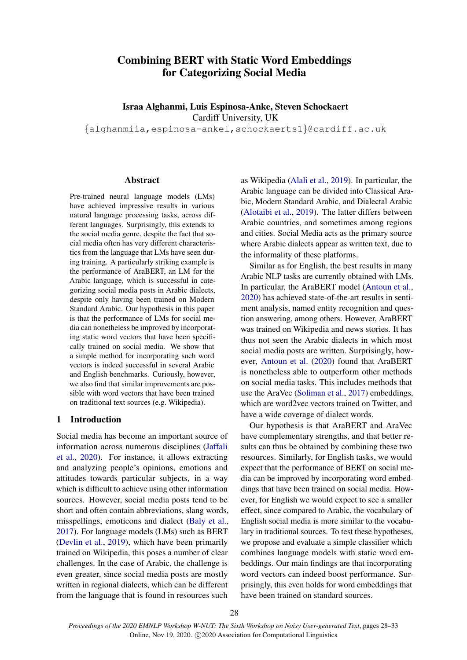# Combining BERT with Static Word Embeddings for Categorizing Social Media

Israa Alghanmi, Luis Espinosa-Anke, Steven Schockaert Cardiff University, UK

{alghanmiia,espinosa-ankel,schockaerts1}@cardiff.ac.uk

### Abstract

Pre-trained neural language models (LMs) have achieved impressive results in various natural language processing tasks, across different languages. Surprisingly, this extends to the social media genre, despite the fact that social media often has very different characteristics from the language that LMs have seen during training. A particularly striking example is the performance of AraBERT, an LM for the Arabic language, which is successful in categorizing social media posts in Arabic dialects, despite only having been trained on Modern Standard Arabic. Our hypothesis in this paper is that the performance of LMs for social media can nonetheless be improved by incorporating static word vectors that have been specifically trained on social media. We show that a simple method for incorporating such word vectors is indeed successful in several Arabic and English benchmarks. Curiously, however, we also find that similar improvements are possible with word vectors that have been trained on traditional text sources (e.g. Wikipedia).

## 1 Introduction

Social media has become an important source of information across numerous disciplines [\(Jaffali](#page-4-0) [et al.,](#page-4-0) [2020\)](#page-4-0). For instance, it allows extracting and analyzing people's opinions, emotions and attitudes towards particular subjects, in a way which is difficult to achieve using other information sources. However, social media posts tend to be short and often contain abbreviations, slang words, misspellings, emoticons and dialect [\(Baly et al.,](#page-4-1) [2017\)](#page-4-1). For language models (LMs) such as BERT [\(Devlin et al.,](#page-4-2) [2019\)](#page-4-2), which have been primarily trained on Wikipedia, this poses a number of clear challenges. In the case of Arabic, the challenge is even greater, since social media posts are mostly written in regional dialects, which can be different from the language that is found in resources such

as Wikipedia [\(Alali et al.,](#page-4-3) [2019\)](#page-4-3). In particular, the Arabic language can be divided into Classical Arabic, Modern Standard Arabic, and Dialectal Arabic [\(Alotaibi et al.,](#page-4-4) [2019\)](#page-4-4). The latter differs between Arabic countries, and sometimes among regions and cities. Social Media acts as the primary source where Arabic dialects appear as written text, due to the informality of these platforms.

Similar as for English, the best results in many Arabic NLP tasks are currently obtained with LMs. In particular, the AraBERT model [\(Antoun et al.,](#page-4-5) [2020\)](#page-4-5) has achieved state-of-the-art results in sentiment analysis, named entity recognition and question answering, among others. However, AraBERT was trained on Wikipedia and news stories. It has thus not seen the Arabic dialects in which most social media posts are written. Surprisingly, however, [Antoun et al.](#page-4-5) [\(2020\)](#page-4-5) found that AraBERT is nonetheless able to outperform other methods on social media tasks. This includes methods that use the AraVec [\(Soliman et al.,](#page-5-0) [2017\)](#page-5-0) embeddings, which are word2vec vectors trained on Twitter, and have a wide coverage of dialect words.

Our hypothesis is that AraBERT and AraVec have complementary strengths, and that better results can thus be obtained by combining these two resources. Similarly, for English tasks, we would expect that the performance of BERT on social media can be improved by incorporating word embeddings that have been trained on social media. However, for English we would expect to see a smaller effect, since compared to Arabic, the vocabulary of English social media is more similar to the vocabulary in traditional sources. To test these hypotheses, we propose and evaluate a simple classifier which combines language models with static word embeddings. Our main findings are that incorporating word vectors can indeed boost performance. Surprisingly, this even holds for word embeddings that have been trained on standard sources.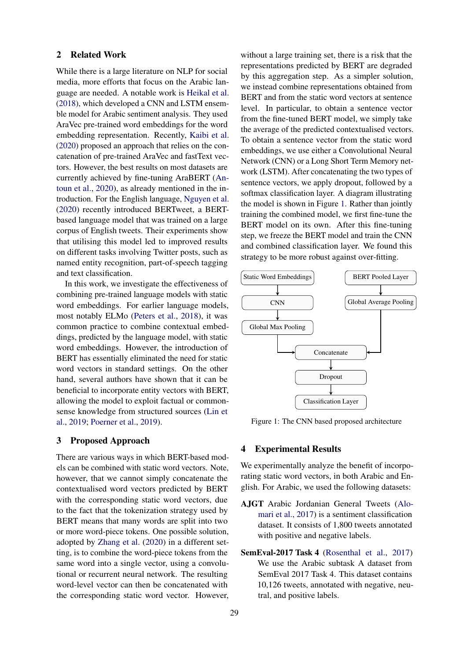#### 2 Related Work

While there is a large literature on NLP for social media, more efforts that focus on the Arabic language are needed. A notable work is [Heikal et al.](#page-4-6) [\(2018\)](#page-4-6), which developed a CNN and LSTM ensemble model for Arabic sentiment analysis. They used AraVec pre-trained word embeddings for the word embedding representation. Recently, [Kaibi et al.](#page-4-7) [\(2020\)](#page-4-7) proposed an approach that relies on the concatenation of pre-trained AraVec and fastText vectors. However, the best results on most datasets are currently achieved by fine-tuning AraBERT [\(An](#page-4-5)[toun et al.,](#page-4-5) [2020\)](#page-4-5), as already mentioned in the introduction. For the English language, [Nguyen et al.](#page-4-8) [\(2020\)](#page-4-8) recently introduced BERTweet, a BERTbased language model that was trained on a large corpus of English tweets. Their experiments show that utilising this model led to improved results on different tasks involving Twitter posts, such as named entity recognition, part-of-speech tagging and text classification.

In this work, we investigate the effectiveness of combining pre-trained language models with static word embeddings. For earlier language models, most notably ELMo [\(Peters et al.,](#page-4-9) [2018\)](#page-4-9), it was common practice to combine contextual embeddings, predicted by the language model, with static word embeddings. However, the introduction of BERT has essentially eliminated the need for static word vectors in standard settings. On the other hand, several authors have shown that it can be beneficial to incorporate entity vectors with BERT, allowing the model to exploit factual or commonsense knowledge from structured sources [\(Lin et](#page-4-10) [al.,](#page-4-10) [2019;](#page-4-10) [Poerner et al.,](#page-4-11) [2019\)](#page-4-11).

### 3 Proposed Approach

There are various ways in which BERT-based models can be combined with static word vectors. Note, however, that we cannot simply concatenate the contextualised word vectors predicted by BERT with the corresponding static word vectors, due to the fact that the tokenization strategy used by BERT means that many words are split into two or more word-piece tokens. One possible solution, adopted by [Zhang et al.](#page-5-1) [\(2020\)](#page-5-1) in a different setting, is to combine the word-piece tokens from the same word into a single vector, using a convolutional or recurrent neural network. The resulting word-level vector can then be concatenated with the corresponding static word vector. However,

without a large training set, there is a risk that the representations predicted by BERT are degraded by this aggregation step. As a simpler solution, we instead combine representations obtained from BERT and from the static word vectors at sentence level. In particular, to obtain a sentence vector from the fine-tuned BERT model, we simply take the average of the predicted contextualised vectors. To obtain a sentence vector from the static word embeddings, we use either a Convolutional Neural Network (CNN) or a Long Short Term Memory network (LSTM). After concatenating the two types of sentence vectors, we apply dropout, followed by a softmax classification layer. A diagram illustrating the model is shown in Figure [1.](#page-1-0) Rather than jointly training the combined model, we first fine-tune the BERT model on its own. After this fine-tuning step, we freeze the BERT model and train the CNN and combined classification layer. We found this strategy to be more robust against over-fitting.

<span id="page-1-0"></span>

Figure 1: The CNN based proposed architecture

# 4 Experimental Results

We experimentally analyze the benefit of incorporating static word vectors, in both Arabic and English. For Arabic, we used the following datasets:

- AJGT Arabic Jordanian General Tweets [\(Alo](#page-4-12)[mari et al.,](#page-4-12) [2017\)](#page-4-12) is a sentiment classification dataset. It consists of 1,800 tweets annotated with positive and negative labels.
- SemEval-2017 Task 4 [\(Rosenthal et al.,](#page-4-13) [2017\)](#page-4-13) We use the Arabic subtask A dataset from SemEval 2017 Task 4. This dataset contains 10,126 tweets, annotated with negative, neutral, and positive labels.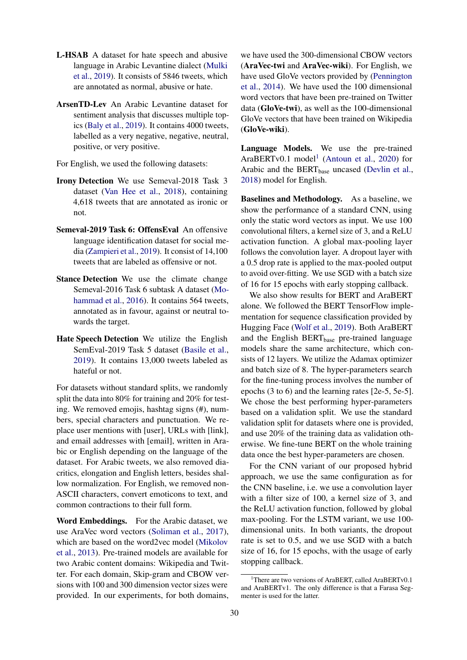- L-HSAB A dataset for hate speech and abusive language in Arabic Levantine dialect [\(Mulki](#page-4-14) [et al.,](#page-4-14) [2019\)](#page-4-14). It consists of 5846 tweets, which are annotated as normal, abusive or hate.
- ArsenTD-Lev An Arabic Levantine dataset for sentiment analysis that discusses multiple topics [\(Baly et al.,](#page-4-15) [2019\)](#page-4-15). It contains 4000 tweets, labelled as a very negative, negative, neutral, positive, or very positive.

For English, we used the following datasets:

- Irony Detection We use Semeval-2018 Task 3 dataset [\(Van Hee et al.,](#page-5-2) [2018\)](#page-5-2), containing 4,618 tweets that are annotated as ironic or not.
- Semeval-2019 Task 6: OffensEval An offensive language identification dataset for social media [\(Zampieri et al.,](#page-5-3) [2019\)](#page-5-3). It consist of 14,100 tweets that are labeled as offensive or not.
- Stance Detection We use the climate change Semeval-2016 Task 6 subtask A dataset [\(Mo](#page-4-16)[hammad et al.,](#page-4-16) [2016\)](#page-4-16). It contains 564 tweets, annotated as in favour, against or neutral towards the target.
- Hate Speech Detection We utilize the English SemEval-2019 Task 5 dataset [\(Basile et al.,](#page-4-17) [2019\)](#page-4-17). It contains 13,000 tweets labeled as hateful or not.

For datasets without standard splits, we randomly split the data into 80% for training and 20% for testing. We removed emojis, hashtag signs (#), numbers, special characters and punctuation. We replace user mentions with [user], URLs with [link], and email addresses with [email], written in Arabic or English depending on the language of the dataset. For Arabic tweets, we also removed diacritics, elongation and English letters, besides shallow normalization. For English, we removed non-ASCII characters, convert emoticons to text, and common contractions to their full form.

Word Embeddings. For the Arabic dataset, we use AraVec word vectors [\(Soliman et al.,](#page-5-0) [2017\)](#page-5-0), which are based on the word2vec model [\(Mikolov](#page-4-18) [et al.,](#page-4-18) [2013\)](#page-4-18). Pre-trained models are available for two Arabic content domains: Wikipedia and Twitter. For each domain, Skip-gram and CBOW versions with 100 and 300 dimension vector sizes were provided. In our experiments, for both domains,

we have used the 300-dimensional CBOW vectors (AraVec-twi and AraVec-wiki). For English, we have used GloVe vectors provided by [\(Pennington](#page-4-19) [et al.,](#page-4-19) [2014\)](#page-4-19). We have used the 100 dimensional word vectors that have been pre-trained on Twitter data (GloVe-twi), as well as the 100-dimensional GloVe vectors that have been trained on Wikipedia (GloVe-wiki).

Language Models. We use the pre-trained  $AraBERTv0.1 model<sup>1</sup> (Antoun et al., 2020) for$  $AraBERTv0.1 model<sup>1</sup> (Antoun et al., 2020) for$  $AraBERTv0.1 model<sup>1</sup> (Antoun et al., 2020) for$  $AraBERTv0.1 model<sup>1</sup> (Antoun et al., 2020) for$  $AraBERTv0.1 model<sup>1</sup> (Antoun et al., 2020) for$  $AraBERTv0.1 model<sup>1</sup> (Antoun et al., 2020) for$  $AraBERTv0.1 model<sup>1</sup> (Antoun et al., 2020) for$ Arabic and the BERT<sub>base</sub> uncased [\(Devlin et al.,](#page-4-20) [2018\)](#page-4-20) model for English.

Baselines and Methodology. As a baseline, we show the performance of a standard CNN, using only the static word vectors as input. We use 100 convolutional filters, a kernel size of 3, and a ReLU activation function. A global max-pooling layer follows the convolution layer. A dropout layer with a 0.5 drop rate is applied to the max-pooled output to avoid over-fitting. We use SGD with a batch size of 16 for 15 epochs with early stopping callback.

We also show results for BERT and AraBERT alone. We followed the BERT TensorFlow implementation for sequence classification provided by Hugging Face [\(Wolf et al.,](#page-5-4) [2019\)](#page-5-4). Both AraBERT and the English BERT<sub>base</sub> pre-trained language models share the same architecture, which consists of 12 layers. We utilize the Adamax optimizer and batch size of 8. The hyper-parameters search for the fine-tuning process involves the number of epochs (3 to 6) and the learning rates [2e-5, 5e-5]. We chose the best performing hyper-parameters based on a validation split. We use the standard validation split for datasets where one is provided, and use 20% of the training data as validation otherwise. We fine-tune BERT on the whole training data once the best hyper-parameters are chosen.

For the CNN variant of our proposed hybrid approach, we use the same configuration as for the CNN baseline, i.e. we use a convolution layer with a filter size of 100, a kernel size of 3, and the ReLU activation function, followed by global max-pooling. For the LSTM variant, we use 100 dimensional units. In both variants, the dropout rate is set to 0.5, and we use SGD with a batch size of 16, for 15 epochs, with the usage of early stopping callback.

<span id="page-2-0"></span><sup>&</sup>lt;sup>1</sup>There are two versions of AraBERT, called AraBERTv0.1 and AraBERTv1. The only difference is that a Farasa Segmenter is used for the latter.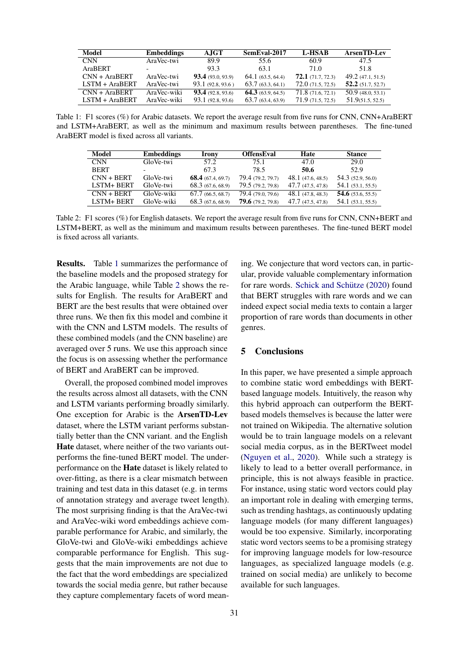<span id="page-3-0"></span>

| Model            | <b>Embeddings</b> | <b>AJGT</b>              | SemEval-2017     | <b>L-HSAB</b>    | <b>ArsenTD-Lev</b>  |
|------------------|-------------------|--------------------------|------------------|------------------|---------------------|
| <b>CNN</b>       | AraVec-twi        | 89.9                     | 55.6             | 60.9             | 47.5                |
| AraBERT          |                   | 93.3                     | 63.1             | 71.0             | 51.8                |
| $CNN + AraBERT$  | AraVec-twi        | <b>93.4</b> (93.0, 93.9) | 64.1(63.5, 64.4) | 72.1(71.7, 72.3) | 49.2(47.1, 51.5)    |
| $LSTM + AraBERT$ | AraVec-twi        | 93.1(92.8, 93.6)         | 63.7(63.3, 64.1) | 72.0(71.5, 72.5) | $52.2$ (51.7, 52.7) |
| $CNN + AraBERT$  | AraVec-wiki       | <b>93.4</b> (92.8, 93.6) | 64.3(63.9, 64.5) | 71.8(71.6, 72.1) | 50.9(48.0, 53.1)    |
| $LSTM + AraBERT$ | AraVec-wiki       | 93.1(92.8, 93.6)         | 63.7(63.4, 63.9) | 71.9(71.5, 72.5) | 51.9(51.5, 52.5)    |

<span id="page-3-1"></span>Table 1: F1 scores (%) for Arabic datasets. We report the average result from five runs for CNN, CNN+AraBERT and LSTM+AraBERT, as well as the minimum and maximum results between parentheses. The fine-tuned AraBERT model is fixed across all variants.

| <b>Model</b>      | <b>Embeddings</b>        | <b>Irony</b>        | <b>OffensEval</b>        | Hate              | <b>Stance</b>       |
|-------------------|--------------------------|---------------------|--------------------------|-------------------|---------------------|
| <b>CNN</b>        | GloVe-twi                | 57.2                | 75.1                     | 47.0              | 29.0                |
| <b>BERT</b>       | $\overline{\phantom{0}}$ | 67.3                | 78.5                     | 50.6              | 52.9                |
| $CNN + BERT$      | GloVe-twi                | 68.4 $(67.4, 69.7)$ | 79.4 (79.2, 79.7)        | 48.1(47.6, 48.5)  | 54.3 (52.9, 56.0)   |
| <b>LSTM+ BERT</b> | GloVe-twi                | 68.3(67.6, 68.9)    | 79.5 (79.2, 79.8)        | 47.7 (47.5, 47.8) | 54.1(53.1, 55.5)    |
| $CNN + BERT$      | GloVe-wiki               | 67.7(66.5, 68.7)    | 79.4 (79.0, 79.6)        | 48.1(47.8, 48.3)  | 54.6 $(53.6, 55.5)$ |
| <b>LSTM+ BERT</b> | GloVe-wiki               | 68.3(67.6, 68.9)    | <b>79.6</b> (79.2, 79.8) | 47.7(47.5, 47.8)  | 54.1(53.1, 55.5)    |

Table 2: F1 scores (%) for English datasets. We report the average result from five runs for CNN, CNN+BERT and LSTM+BERT, as well as the minimum and maximum results between parentheses. The fine-tuned BERT model is fixed across all variants.

Results. Table [1](#page-3-0) summarizes the performance of the baseline models and the proposed strategy for the Arabic language, while Table [2](#page-3-1) shows the results for English. The results for AraBERT and BERT are the best results that were obtained over three runs. We then fix this model and combine it with the CNN and LSTM models. The results of these combined models (and the CNN baseline) are averaged over 5 runs. We use this approach since the focus is on assessing whether the performance of BERT and AraBERT can be improved.

Overall, the proposed combined model improves the results across almost all datasets, with the CNN and LSTM variants performing broadly similarly. One exception for Arabic is the ArsenTD-Lev dataset, where the LSTM variant performs substantially better than the CNN variant. and the English Hate dataset, where neither of the two variants outperforms the fine-tuned BERT model. The underperformance on the Hate dataset is likely related to over-fitting, as there is a clear mismatch between training and test data in this dataset (e.g. in terms of annotation strategy and average tweet length). The most surprising finding is that the AraVec-twi and AraVec-wiki word embeddings achieve comparable performance for Arabic, and similarly, the GloVe-twi and GloVe-wiki embeddings achieve comparable performance for English. This suggests that the main improvements are not due to the fact that the word embeddings are specialized towards the social media genre, but rather because they capture complementary facets of word mean-

ing. We conjecture that word vectors can, in particular, provide valuable complementary information for rare words. Schick and Schütze [\(2020\)](#page-4-21) found that BERT struggles with rare words and we can indeed expect social media texts to contain a larger proportion of rare words than documents in other genres.

### 5 Conclusions

In this paper, we have presented a simple approach to combine static word embeddings with BERTbased language models. Intuitively, the reason why this hybrid approach can outperform the BERTbased models themselves is because the latter were not trained on Wikipedia. The alternative solution would be to train language models on a relevant social media corpus, as in the BERTweet model [\(Nguyen et al.,](#page-4-8) [2020\)](#page-4-8). While such a strategy is likely to lead to a better overall performance, in principle, this is not always feasible in practice. For instance, using static word vectors could play an important role in dealing with emerging terms, such as trending hashtags, as continuously updating language models (for many different languages) would be too expensive. Similarly, incorporating static word vectors seems to be a promising strategy for improving language models for low-resource languages, as specialized language models (e.g. trained on social media) are unlikely to become available for such languages.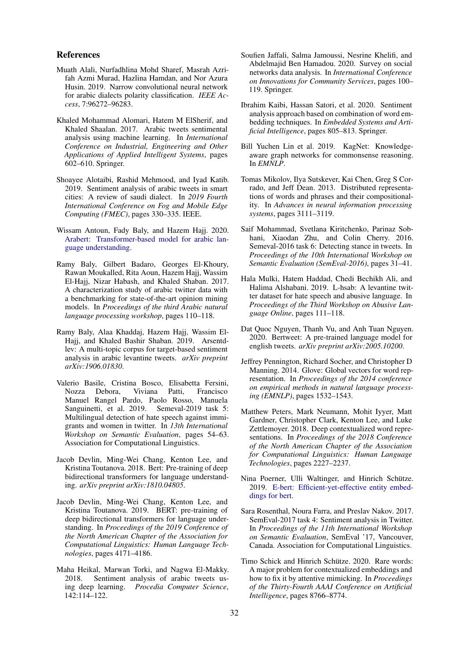#### References

- <span id="page-4-3"></span>Muath Alali, Nurfadhlina Mohd Sharef, Masrah Azrifah Azmi Murad, Hazlina Hamdan, and Nor Azura Husin. 2019. Narrow convolutional neural network for arabic dialects polarity classification. *IEEE Access*, 7:96272–96283.
- <span id="page-4-12"></span>Khaled Mohammad Alomari, Hatem M ElSherif, and Khaled Shaalan. 2017. Arabic tweets sentimental analysis using machine learning. In *International Conference on Industrial, Engineering and Other Applications of Applied Intelligent Systems*, pages 602–610. Springer.
- <span id="page-4-4"></span>Shoayee Alotaibi, Rashid Mehmood, and Iyad Katib. 2019. Sentiment analysis of arabic tweets in smart cities: A review of saudi dialect. In *2019 Fourth International Conference on Fog and Mobile Edge Computing (FMEC)*, pages 330–335. IEEE.
- <span id="page-4-5"></span>Wissam Antoun, Fady Baly, and Hazem Hajj. 2020. [Arabert: Transformer-based model for arabic lan](http://arxiv.org/abs/2003.00104)[guage understanding.](http://arxiv.org/abs/2003.00104)
- <span id="page-4-1"></span>Ramy Baly, Gilbert Badaro, Georges El-Khoury, Rawan Moukalled, Rita Aoun, Hazem Hajj, Wassim El-Hajj, Nizar Habash, and Khaled Shaban. 2017. A characterization study of arabic twitter data with a benchmarking for state-of-the-art opinion mining models. In *Proceedings of the third Arabic natural language processing workshop*, pages 110–118.
- <span id="page-4-15"></span>Ramy Baly, Alaa Khaddaj, Hazem Hajj, Wassim El-Hajj, and Khaled Bashir Shaban. 2019. Arsentdlev: A multi-topic corpus for target-based sentiment analysis in arabic levantine tweets. *arXiv preprint arXiv:1906.01830*.
- <span id="page-4-17"></span>Valerio Basile, Cristina Bosco, Elisabetta Fersini, Nozza Debora, Viviana Patti, Francisco Manuel Rangel Pardo, Paolo Rosso, Manuela Sanguinetti, et al. 2019. Semeval-2019 task 5: Multilingual detection of hate speech against immigrants and women in twitter. In *13th International Workshop on Semantic Evaluation*, pages 54–63. Association for Computational Linguistics.
- <span id="page-4-20"></span>Jacob Devlin, Ming-Wei Chang, Kenton Lee, and Kristina Toutanova. 2018. Bert: Pre-training of deep bidirectional transformers for language understanding. *arXiv preprint arXiv:1810.04805*.
- <span id="page-4-2"></span>Jacob Devlin, Ming-Wei Chang, Kenton Lee, and Kristina Toutanova. 2019. BERT: pre-training of deep bidirectional transformers for language understanding. In *Proceedings of the 2019 Conference of the North American Chapter of the Association for Computational Linguistics: Human Language Technologies*, pages 4171–4186.
- <span id="page-4-6"></span>Maha Heikal, Marwan Torki, and Nagwa El-Makky. 2018. Sentiment analysis of arabic tweets using deep learning. *Procedia Computer Science*, 142:114–122.
- <span id="page-4-0"></span>Soufien Jaffali, Salma Jamoussi, Nesrine Khelifi, and Abdelmajid Ben Hamadou. 2020. Survey on social networks data analysis. In *International Conference on Innovations for Community Services*, pages 100– 119. Springer.
- <span id="page-4-7"></span>Ibrahim Kaibi, Hassan Satori, et al. 2020. Sentiment analysis approach based on combination of word embedding techniques. In *Embedded Systems and Artificial Intelligence*, pages 805–813. Springer.
- <span id="page-4-10"></span>Bill Yuchen Lin et al. 2019. KagNet: Knowledgeaware graph networks for commonsense reasoning. In *EMNLP*.
- <span id="page-4-18"></span>Tomas Mikolov, Ilya Sutskever, Kai Chen, Greg S Corrado, and Jeff Dean. 2013. Distributed representations of words and phrases and their compositionality. In *Advances in neural information processing systems*, pages 3111–3119.
- <span id="page-4-16"></span>Saif Mohammad, Svetlana Kiritchenko, Parinaz Sobhani, Xiaodan Zhu, and Colin Cherry. 2016. Semeval-2016 task 6: Detecting stance in tweets. In *Proceedings of the 10th International Workshop on Semantic Evaluation (SemEval-2016)*, pages 31–41.
- <span id="page-4-14"></span>Hala Mulki, Hatem Haddad, Chedi Bechikh Ali, and Halima Alshabani. 2019. L-hsab: A levantine twitter dataset for hate speech and abusive language. In *Proceedings of the Third Workshop on Abusive Language Online*, pages 111–118.
- <span id="page-4-8"></span>Dat Quoc Nguyen, Thanh Vu, and Anh Tuan Nguyen. 2020. Bertweet: A pre-trained language model for english tweets. *arXiv preprint arXiv:2005.10200*.
- <span id="page-4-19"></span>Jeffrey Pennington, Richard Socher, and Christopher D Manning. 2014. Glove: Global vectors for word representation. In *Proceedings of the 2014 conference on empirical methods in natural language processing (EMNLP)*, pages 1532–1543.
- <span id="page-4-9"></span>Matthew Peters, Mark Neumann, Mohit Iyyer, Matt Gardner, Christopher Clark, Kenton Lee, and Luke Zettlemoyer. 2018. Deep contextualized word representations. In *Proceedings of the 2018 Conference of the North American Chapter of the Association for Computational Linguistics: Human Language Technologies*, pages 2227–2237.
- <span id="page-4-11"></span>Nina Poerner, Ulli Waltinger, and Hinrich Schütze. 2019. [E-bert: Efficient-yet-effective entity embed](http://arxiv.org/abs/1911.03681)[dings for bert.](http://arxiv.org/abs/1911.03681)
- <span id="page-4-13"></span>Sara Rosenthal, Noura Farra, and Preslav Nakov. 2017. SemEval-2017 task 4: Sentiment analysis in Twitter. In *Proceedings of the 11th International Workshop on Semantic Evaluation*, SemEval '17, Vancouver, Canada. Association for Computational Linguistics.
- <span id="page-4-21"></span>Timo Schick and Hinrich Schütze. 2020. Rare words: A major problem for contextualized embeddings and how to fix it by attentive mimicking. In *Proceedings of the Thirty-Fourth AAAI Conference on Artificial Intelligence*, pages 8766–8774.